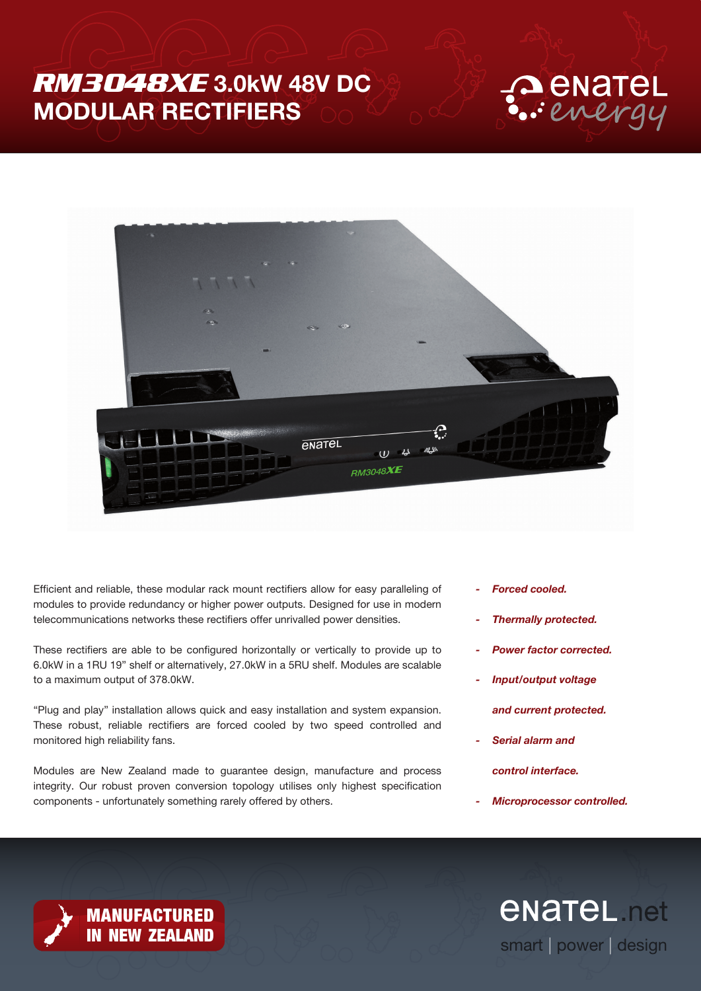# *RM3048XE* 3.0kW 48V DC MODULAR RECTIFIERS





Efficient and reliable, these modular rack mount rectifiers allow for easy paralleling of modules to provide redundancy or higher power outputs. Designed for use in modern telecommunications networks these rectifiers offer unrivalled power densities.

These rectifiers are able to be configured horizontally or vertically to provide up to 6.0kW in a 1RU 19" shelf or alternatively, 27.0kW in a 5RU shelf. Modules are scalable to a maximum output of 378.0kW.

"Plug and play" installation allows quick and easy installation and system expansion. These robust, reliable rectifiers are forced cooled by two speed controlled and monitored high reliability fans.

Modules are New Zealand made to guarantee design, manufacture and process integrity. Our robust proven conversion topology utilises only highest specification components - unfortunately something rarely offered by others.

- *Forced cooled.*
- *Thermally protected.*
- *Power factor corrected.*
- *Input/output voltage*
	- *and current protected.*
- *Serial alarm and control interface.*
- *Microprocessor controlled.*

*<u>ENATEL</u>* net smart | power | design



**MANUFACTURED<br>IN NEW ZEALAND**